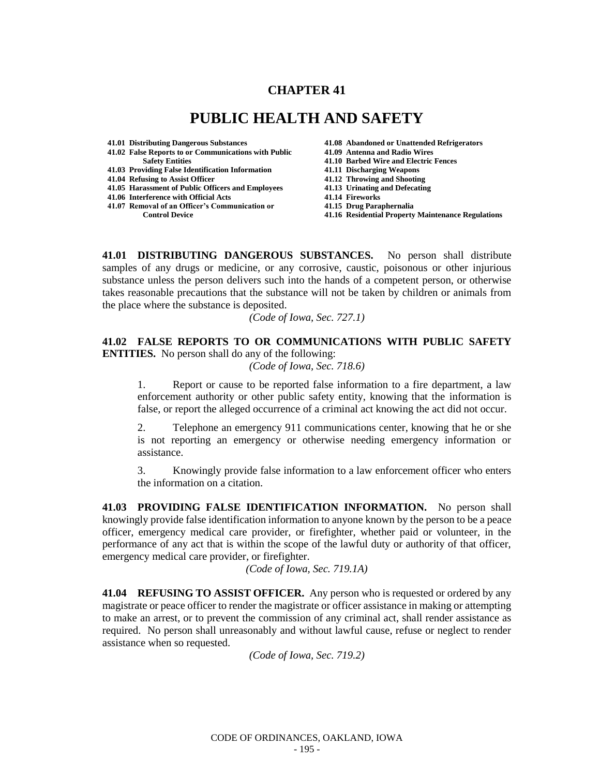## **CHAPTER 41**

# **PUBLIC HEALTH AND SAFETY**

- 
- **41.02 False Reports to or Communications with Public 41.09 Antenna and Radio Wires**
- **41.03 Providing False Identification Information 41.11 Discharging Weapons**
- **41.04 Refusing to Assist Officer**
- **41.05 Harassment of Public Officers and Employees 41.13 Urinating and Defecating**
- **41.06 Interference with Official Acts 41.14 Fireworks**
- **41.07 Removal of an Officer's Communication or 41.15 Drug Paraphernalia**
- **41.01 Distributing Dangerous Substances 41.08 Abandoned or Unattended Refrigerators**
	-
	- **Safety Entities 41.10 Barbed Wire and Electric Fences**
	-
	-
	-
	-
	- **41.16 Residential Property Maintenance Regulations**

**41.01 DISTRIBUTING DANGEROUS SUBSTANCES.** No person shall distribute samples of any drugs or medicine, or any corrosive, caustic, poisonous or other injurious substance unless the person delivers such into the hands of a competent person, or otherwise takes reasonable precautions that the substance will not be taken by children or animals from the place where the substance is deposited.

*(Code of Iowa, Sec. 727.1)*

### **41.02 FALSE REPORTS TO OR COMMUNICATIONS WITH PUBLIC SAFETY ENTITIES.** No person shall do any of the following:

*(Code of Iowa, Sec. 718.6)*

1. Report or cause to be reported false information to a fire department, a law enforcement authority or other public safety entity, knowing that the information is false, or report the alleged occurrence of a criminal act knowing the act did not occur.

2. Telephone an emergency 911 communications center, knowing that he or she is not reporting an emergency or otherwise needing emergency information or assistance.

3. Knowingly provide false information to a law enforcement officer who enters the information on a citation.

**41.03 PROVIDING FALSE IDENTIFICATION INFORMATION.** No person shall knowingly provide false identification information to anyone known by the person to be a peace officer, emergency medical care provider, or firefighter, whether paid or volunteer, in the performance of any act that is within the scope of the lawful duty or authority of that officer, emergency medical care provider, or firefighter.

*(Code of Iowa, Sec. 719.1A)*

**41.04 REFUSING TO ASSIST OFFICER.** Any person who is requested or ordered by any magistrate or peace officer to render the magistrate or officer assistance in making or attempting to make an arrest, or to prevent the commission of any criminal act, shall render assistance as required. No person shall unreasonably and without lawful cause, refuse or neglect to render assistance when so requested.

*(Code of Iowa, Sec. 719.2)*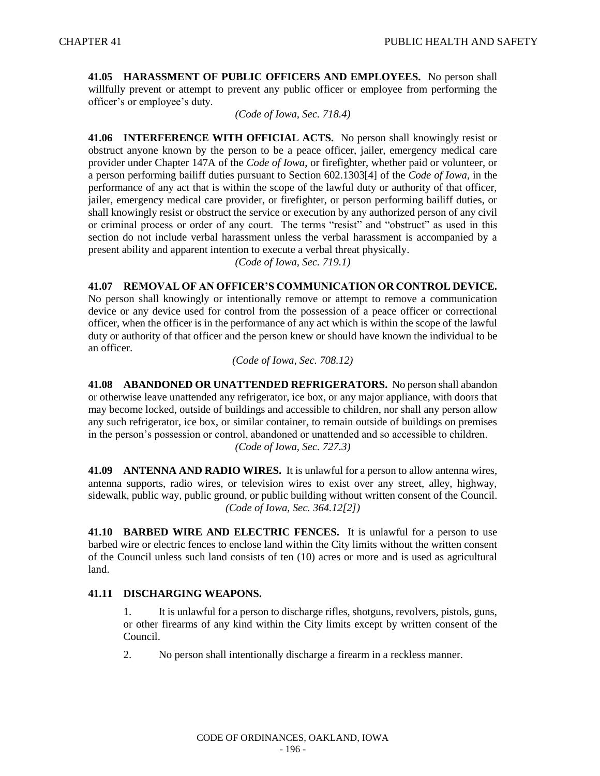**41.05 HARASSMENT OF PUBLIC OFFICERS AND EMPLOYEES.** No person shall willfully prevent or attempt to prevent any public officer or employee from performing the officer's or employee's duty.

*(Code of Iowa, Sec. 718.4)*

**41.06 INTERFERENCE WITH OFFICIAL ACTS.** No person shall knowingly resist or obstruct anyone known by the person to be a peace officer, jailer, emergency medical care provider under Chapter 147A of the *Code of Iowa*, or firefighter, whether paid or volunteer, or a person performing bailiff duties pursuant to Section 602.1303[4] of the *Code of Iowa*, in the performance of any act that is within the scope of the lawful duty or authority of that officer, jailer, emergency medical care provider, or firefighter, or person performing bailiff duties, or shall knowingly resist or obstruct the service or execution by any authorized person of any civil or criminal process or order of any court. The terms "resist" and "obstruct" as used in this section do not include verbal harassment unless the verbal harassment is accompanied by a present ability and apparent intention to execute a verbal threat physically.

*(Code of Iowa, Sec. 719.1)*

**41.07 REMOVAL OF AN OFFICER'S COMMUNICATION OR CONTROL DEVICE.**  No person shall knowingly or intentionally remove or attempt to remove a communication device or any device used for control from the possession of a peace officer or correctional officer, when the officer is in the performance of any act which is within the scope of the lawful duty or authority of that officer and the person knew or should have known the individual to be an officer.

*(Code of Iowa, Sec. 708.12)*

**41.08 ABANDONED OR UNATTENDED REFRIGERATORS.** No person shall abandon or otherwise leave unattended any refrigerator, ice box, or any major appliance, with doors that may become locked, outside of buildings and accessible to children, nor shall any person allow any such refrigerator, ice box, or similar container, to remain outside of buildings on premises in the person's possession or control, abandoned or unattended and so accessible to children. *(Code of Iowa, Sec. 727.3)*

**41.09 ANTENNA AND RADIO WIRES.** It is unlawful for a person to allow antenna wires, antenna supports, radio wires, or television wires to exist over any street, alley, highway, sidewalk, public way, public ground, or public building without written consent of the Council. *(Code of Iowa, Sec. 364.12[2])*

**41.10 BARBED WIRE AND ELECTRIC FENCES.** It is unlawful for a person to use barbed wire or electric fences to enclose land within the City limits without the written consent of the Council unless such land consists of ten (10) acres or more and is used as agricultural land.

### **41.11 DISCHARGING WEAPONS.**

1. It is unlawful for a person to discharge rifles, shotguns, revolvers, pistols, guns, or other firearms of any kind within the City limits except by written consent of the Council.

2. No person shall intentionally discharge a firearm in a reckless manner.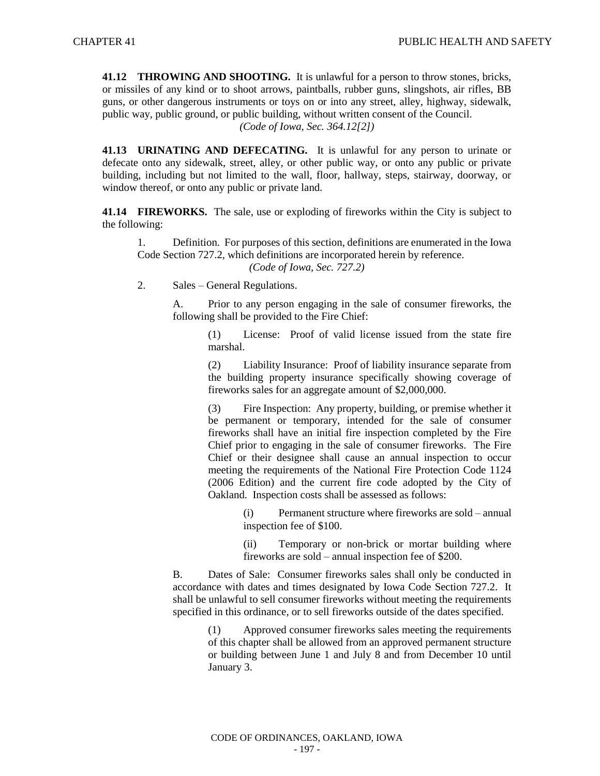**41.12 THROWING AND SHOOTING.** It is unlawful for a person to throw stones, bricks, or missiles of any kind or to shoot arrows, paintballs, rubber guns, slingshots, air rifles, BB guns, or other dangerous instruments or toys on or into any street, alley, highway, sidewalk, public way, public ground, or public building, without written consent of the Council. *(Code of Iowa, Sec. 364.12[2])*

**41.13 URINATING AND DEFECATING.** It is unlawful for any person to urinate or defecate onto any sidewalk, street, alley, or other public way, or onto any public or private building, including but not limited to the wall, floor, hallway, steps, stairway, doorway, or window thereof, or onto any public or private land.

**41.14 FIREWORKS.** The sale, use or exploding of fireworks within the City is subject to the following:

1. Definition. For purposes of this section, definitions are enumerated in the Iowa Code Section 727.2, which definitions are incorporated herein by reference. *(Code of Iowa, Sec. 727.2)*

2. Sales – General Regulations.

A. Prior to any person engaging in the sale of consumer fireworks, the following shall be provided to the Fire Chief:

> (1) License: Proof of valid license issued from the state fire marshal.

> (2) Liability Insurance: Proof of liability insurance separate from the building property insurance specifically showing coverage of fireworks sales for an aggregate amount of \$2,000,000.

> (3) Fire Inspection: Any property, building, or premise whether it be permanent or temporary, intended for the sale of consumer fireworks shall have an initial fire inspection completed by the Fire Chief prior to engaging in the sale of consumer fireworks. The Fire Chief or their designee shall cause an annual inspection to occur meeting the requirements of the National Fire Protection Code 1124 (2006 Edition) and the current fire code adopted by the City of Oakland. Inspection costs shall be assessed as follows:

> > (i) Permanent structure where fireworks are sold – annual inspection fee of \$100.

> > (ii) Temporary or non-brick or mortar building where fireworks are sold – annual inspection fee of \$200.

B. Dates of Sale: Consumer fireworks sales shall only be conducted in accordance with dates and times designated by Iowa Code Section 727.2. It shall be unlawful to sell consumer fireworks without meeting the requirements specified in this ordinance, or to sell fireworks outside of the dates specified.

> (1) Approved consumer fireworks sales meeting the requirements of this chapter shall be allowed from an approved permanent structure or building between June 1 and July 8 and from December 10 until January 3.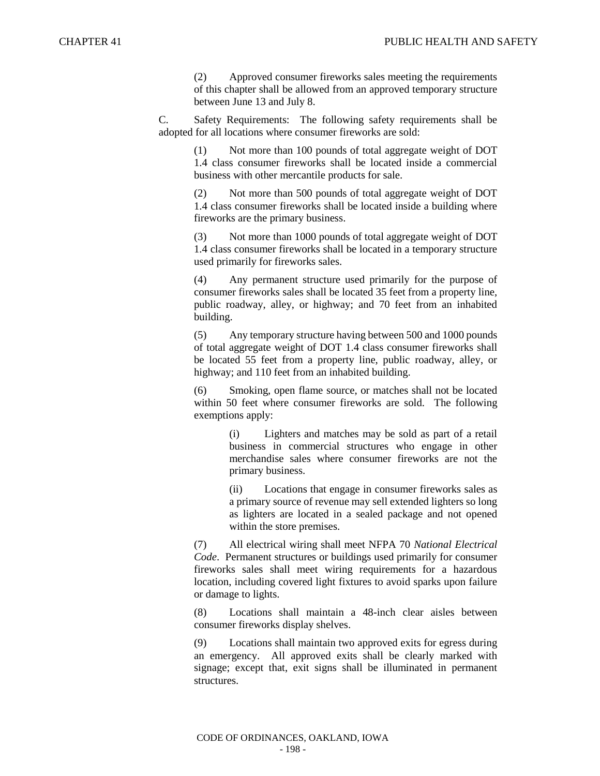(2) Approved consumer fireworks sales meeting the requirements of this chapter shall be allowed from an approved temporary structure between June 13 and July 8.

C. Safety Requirements: The following safety requirements shall be adopted for all locations where consumer fireworks are sold:

> (1) Not more than 100 pounds of total aggregate weight of DOT 1.4 class consumer fireworks shall be located inside a commercial business with other mercantile products for sale.

> (2) Not more than 500 pounds of total aggregate weight of DOT 1.4 class consumer fireworks shall be located inside a building where fireworks are the primary business.

> (3) Not more than 1000 pounds of total aggregate weight of DOT 1.4 class consumer fireworks shall be located in a temporary structure used primarily for fireworks sales.

> (4) Any permanent structure used primarily for the purpose of consumer fireworks sales shall be located 35 feet from a property line, public roadway, alley, or highway; and 70 feet from an inhabited building.

> (5) Any temporary structure having between 500 and 1000 pounds of total aggregate weight of DOT 1.4 class consumer fireworks shall be located 55 feet from a property line, public roadway, alley, or highway; and 110 feet from an inhabited building.

> (6) Smoking, open flame source, or matches shall not be located within 50 feet where consumer fireworks are sold. The following exemptions apply:

> > (i) Lighters and matches may be sold as part of a retail business in commercial structures who engage in other merchandise sales where consumer fireworks are not the primary business.

> > (ii) Locations that engage in consumer fireworks sales as a primary source of revenue may sell extended lighters so long as lighters are located in a sealed package and not opened within the store premises.

(7) All electrical wiring shall meet NFPA 70 *National Electrical Code*. Permanent structures or buildings used primarily for consumer fireworks sales shall meet wiring requirements for a hazardous location, including covered light fixtures to avoid sparks upon failure or damage to lights.

(8) Locations shall maintain a 48-inch clear aisles between consumer fireworks display shelves.

(9) Locations shall maintain two approved exits for egress during an emergency. All approved exits shall be clearly marked with signage; except that, exit signs shall be illuminated in permanent structures.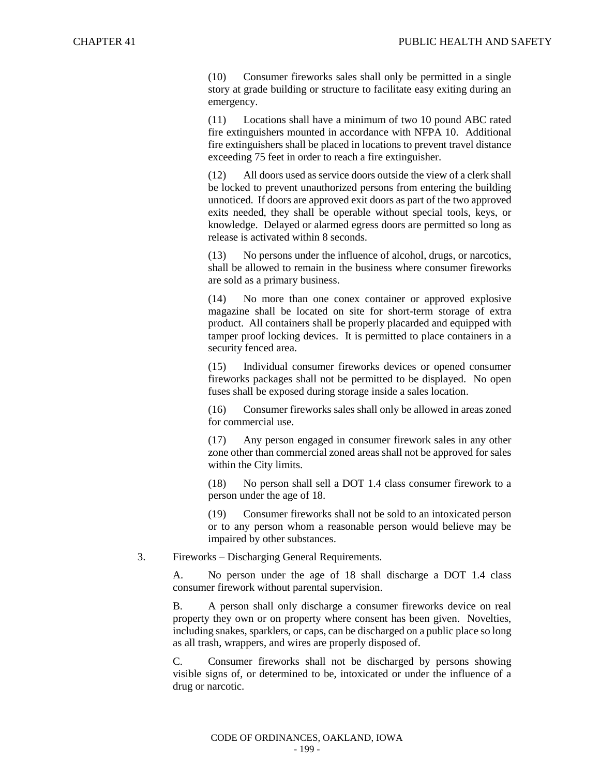(10) Consumer fireworks sales shall only be permitted in a single story at grade building or structure to facilitate easy exiting during an emergency.

(11) Locations shall have a minimum of two 10 pound ABC rated fire extinguishers mounted in accordance with NFPA 10. Additional fire extinguishers shall be placed in locations to prevent travel distance exceeding 75 feet in order to reach a fire extinguisher.

(12) All doors used as service doors outside the view of a clerk shall be locked to prevent unauthorized persons from entering the building unnoticed. If doors are approved exit doors as part of the two approved exits needed, they shall be operable without special tools, keys, or knowledge. Delayed or alarmed egress doors are permitted so long as release is activated within 8 seconds.

(13) No persons under the influence of alcohol, drugs, or narcotics, shall be allowed to remain in the business where consumer fireworks are sold as a primary business.

(14) No more than one conex container or approved explosive magazine shall be located on site for short-term storage of extra product. All containers shall be properly placarded and equipped with tamper proof locking devices. It is permitted to place containers in a security fenced area.

(15) Individual consumer fireworks devices or opened consumer fireworks packages shall not be permitted to be displayed. No open fuses shall be exposed during storage inside a sales location.

(16) Consumer fireworks sales shall only be allowed in areas zoned for commercial use.

(17) Any person engaged in consumer firework sales in any other zone other than commercial zoned areas shall not be approved for sales within the City limits.

(18) No person shall sell a DOT 1.4 class consumer firework to a person under the age of 18.

(19) Consumer fireworks shall not be sold to an intoxicated person or to any person whom a reasonable person would believe may be impaired by other substances.

3. Fireworks – Discharging General Requirements.

A. No person under the age of 18 shall discharge a DOT 1.4 class consumer firework without parental supervision.

B. A person shall only discharge a consumer fireworks device on real property they own or on property where consent has been given. Novelties, including snakes, sparklers, or caps, can be discharged on a public place so long as all trash, wrappers, and wires are properly disposed of.

C. Consumer fireworks shall not be discharged by persons showing visible signs of, or determined to be, intoxicated or under the influence of a drug or narcotic.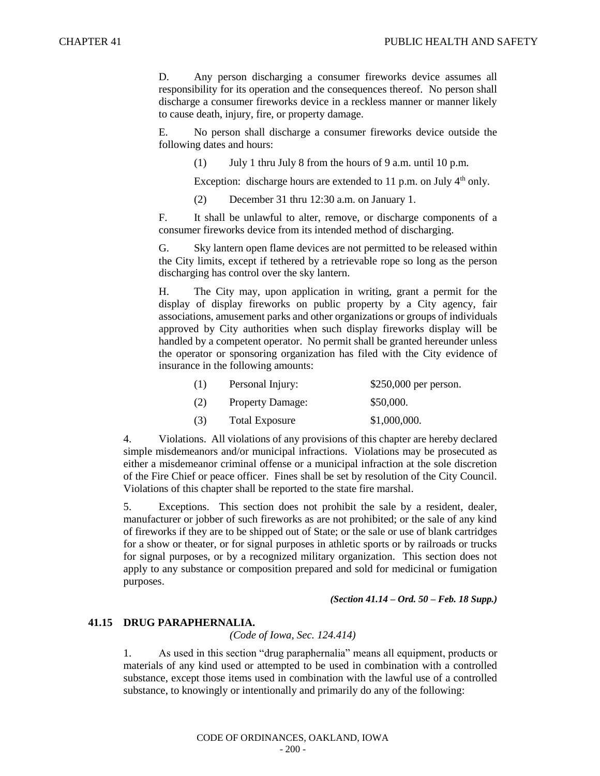D. Any person discharging a consumer fireworks device assumes all responsibility for its operation and the consequences thereof. No person shall discharge a consumer fireworks device in a reckless manner or manner likely to cause death, injury, fire, or property damage.

E. No person shall discharge a consumer fireworks device outside the following dates and hours:

(1) July 1 thru July 8 from the hours of 9 a.m. until 10 p.m.

Exception: discharge hours are extended to 11 p.m. on July  $4<sup>th</sup>$  only.

(2) December 31 thru 12:30 a.m. on January 1.

F. It shall be unlawful to alter, remove, or discharge components of a consumer fireworks device from its intended method of discharging.

G. Sky lantern open flame devices are not permitted to be released within the City limits, except if tethered by a retrievable rope so long as the person discharging has control over the sky lantern.

H. The City may, upon application in writing, grant a permit for the display of display fireworks on public property by a City agency, fair associations, amusement parks and other organizations or groups of individuals approved by City authorities when such display fireworks display will be handled by a competent operator. No permit shall be granted hereunder unless the operator or sponsoring organization has filed with the City evidence of insurance in the following amounts:

| (1) | Personal Injury:        | \$250,000 per person. |
|-----|-------------------------|-----------------------|
| (2) | <b>Property Damage:</b> | \$50,000.             |
| (3) | Total Exposure          | \$1,000,000.          |

4. Violations. All violations of any provisions of this chapter are hereby declared simple misdemeanors and/or municipal infractions. Violations may be prosecuted as either a misdemeanor criminal offense or a municipal infraction at the sole discretion of the Fire Chief or peace officer. Fines shall be set by resolution of the City Council. Violations of this chapter shall be reported to the state fire marshal.

5. Exceptions. This section does not prohibit the sale by a resident, dealer, manufacturer or jobber of such fireworks as are not prohibited; or the sale of any kind of fireworks if they are to be shipped out of State; or the sale or use of blank cartridges for a show or theater, or for signal purposes in athletic sports or by railroads or trucks for signal purposes, or by a recognized military organization. This section does not apply to any substance or composition prepared and sold for medicinal or fumigation purposes.

*(Section 41.14 – Ord. 50 – Feb. 18 Supp.)*

#### **41.15 DRUG PARAPHERNALIA.**

*(Code of Iowa, Sec. 124.414)*

1. As used in this section "drug paraphernalia" means all equipment, products or materials of any kind used or attempted to be used in combination with a controlled substance, except those items used in combination with the lawful use of a controlled substance, to knowingly or intentionally and primarily do any of the following: